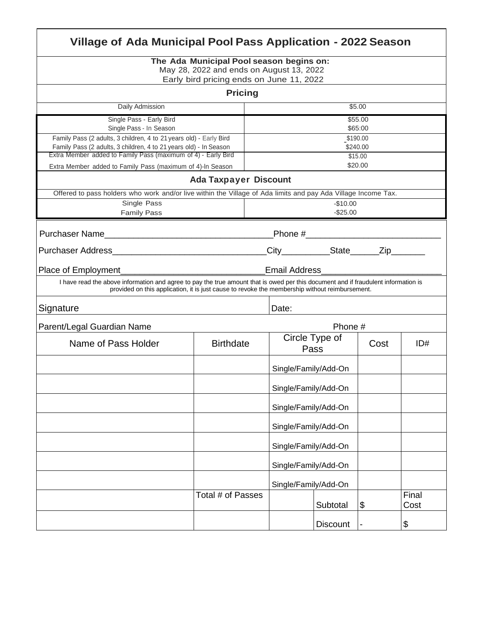| Village of Ada Municipal Pool Pass Application - 2022 Season                                                                                                                                                                         |                   |        |                        |                      |      |               |  |  |  |
|--------------------------------------------------------------------------------------------------------------------------------------------------------------------------------------------------------------------------------------|-------------------|--------|------------------------|----------------------|------|---------------|--|--|--|
| The Ada Municipal Pool season begins on:<br>May 28, 2022 and ends on August 13, 2022<br>Early bird pricing ends on June 11, 2022                                                                                                     |                   |        |                        |                      |      |               |  |  |  |
| <b>Pricing</b>                                                                                                                                                                                                                       |                   |        |                        |                      |      |               |  |  |  |
| <b>Daily Admission</b>                                                                                                                                                                                                               |                   | \$5.00 |                        |                      |      |               |  |  |  |
| Single Pass - Early Bird                                                                                                                                                                                                             |                   |        | \$55.00                |                      |      |               |  |  |  |
| Single Pass - In Season<br>Family Pass (2 adults, 3 children, 4 to 21 years old) - Early Bird                                                                                                                                        |                   |        | \$65:00<br>\$190.00    |                      |      |               |  |  |  |
| Family Pass (2 adults, 3 children, 4 to 21 years old) - In Season<br>Extra Member added to Family Pass (maximum of 4) - Early Bird                                                                                                   |                   |        | \$240.00<br>\$15.00    |                      |      |               |  |  |  |
| Extra Member added to Family Pass (maximum of 4)-In Season                                                                                                                                                                           |                   |        | \$20.00                |                      |      |               |  |  |  |
| <b>Ada Taxpayer Discount</b>                                                                                                                                                                                                         |                   |        |                        |                      |      |               |  |  |  |
| Offered to pass holders who work and/or live within the Village of Ada limits and pay Ada Village Income Tax.                                                                                                                        |                   |        |                        |                      |      |               |  |  |  |
| Single Pass<br><b>Family Pass</b>                                                                                                                                                                                                    |                   |        | $-$10.00$<br>$-$25.00$ |                      |      |               |  |  |  |
|                                                                                                                                                                                                                                      |                   |        |                        |                      |      |               |  |  |  |
| City___________State______Zip_______                                                                                                                                                                                                 |                   |        |                        |                      |      |               |  |  |  |
| <b>Email Address</b><br>Place of Employment                                                                                                                                                                                          |                   |        |                        |                      |      |               |  |  |  |
| I have read the above information and agree to pay the true amount that is owed per this document and if fraudulent information is<br>provided on this application, it is just cause to revoke the membership without reimbursement. |                   |        |                        |                      |      |               |  |  |  |
| Signature                                                                                                                                                                                                                            |                   |        | Date:                  |                      |      |               |  |  |  |
| Phone #<br>Parent/Legal Guardian Name                                                                                                                                                                                                |                   |        |                        |                      |      |               |  |  |  |
| Name of Pass Holder                                                                                                                                                                                                                  | <b>Birthdate</b>  |        | Circle Type of<br>Pass |                      | Cost | ID#           |  |  |  |
|                                                                                                                                                                                                                                      |                   |        |                        | Single/Family/Add-On |      |               |  |  |  |
|                                                                                                                                                                                                                                      |                   |        | Single/Family/Add-On   |                      |      |               |  |  |  |
|                                                                                                                                                                                                                                      |                   |        | Single/Family/Add-On   |                      |      |               |  |  |  |
|                                                                                                                                                                                                                                      |                   |        | Single/Family/Add-On   |                      |      |               |  |  |  |
|                                                                                                                                                                                                                                      | Total # of Passes |        | Single/Family/Add-On   |                      |      |               |  |  |  |
|                                                                                                                                                                                                                                      |                   |        | Single/Family/Add-On   |                      |      |               |  |  |  |
|                                                                                                                                                                                                                                      |                   |        | Single/Family/Add-On   |                      |      |               |  |  |  |
|                                                                                                                                                                                                                                      |                   |        |                        | Subtotal             | \$   | Final<br>Cost |  |  |  |
|                                                                                                                                                                                                                                      |                   |        |                        | <b>Discount</b>      |      | \$            |  |  |  |